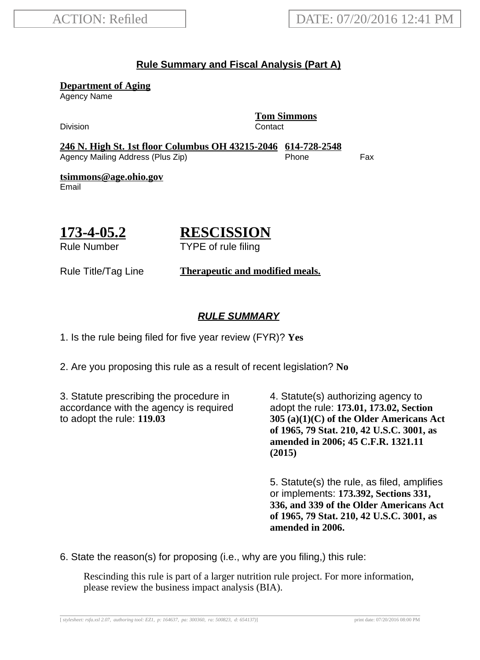#### **Rule Summary and Fiscal Analysis (Part A)**

**Department of Aging**

Agency Name

Division **Contact** 

**Tom Simmons**

**246 N. High St. 1st floor Columbus OH 43215-2046 614-728-2548** Agency Mailing Address (Plus Zip) entitled the Separate Control of the Fax

**tsimmons@age.ohio.gov** Email

## **173-4-05.2**

# **RESCISSION**

Rule Number

TYPE of rule filing

Rule Title/Tag Line **Therapeutic and modified meals.**

### **RULE SUMMARY**

1. Is the rule being filed for five year review (FYR)? **Yes**

2. Are you proposing this rule as a result of recent legislation? **No**

3. Statute prescribing the procedure in accordance with the agency is required to adopt the rule: **119.03**

4. Statute(s) authorizing agency to adopt the rule: **173.01, 173.02, Section 305 (a)(1)(C) of the Older Americans Act of 1965, 79 Stat. 210, 42 U.S.C. 3001, as amended in 2006; 45 C.F.R. 1321.11 (2015)**

5. Statute(s) the rule, as filed, amplifies or implements: **173.392, Sections 331, 336, and 339 of the Older Americans Act of 1965, 79 Stat. 210, 42 U.S.C. 3001, as amended in 2006.**

6. State the reason(s) for proposing (i.e., why are you filing,) this rule:

Rescinding this rule is part of a larger nutrition rule project. For more information, please review the business impact analysis (BIA).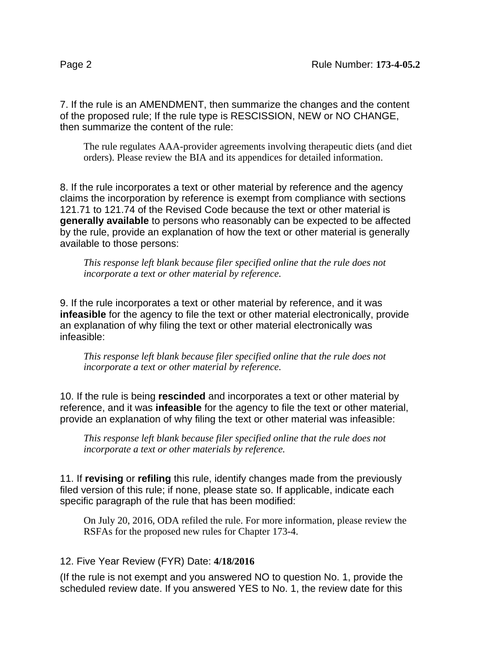7. If the rule is an AMENDMENT, then summarize the changes and the content of the proposed rule; If the rule type is RESCISSION, NEW or NO CHANGE, then summarize the content of the rule:

The rule regulates AAA-provider agreements involving therapeutic diets (and diet orders). Please review the BIA and its appendices for detailed information.

8. If the rule incorporates a text or other material by reference and the agency claims the incorporation by reference is exempt from compliance with sections 121.71 to 121.74 of the Revised Code because the text or other material is **generally available** to persons who reasonably can be expected to be affected by the rule, provide an explanation of how the text or other material is generally available to those persons:

*This response left blank because filer specified online that the rule does not incorporate a text or other material by reference.*

9. If the rule incorporates a text or other material by reference, and it was **infeasible** for the agency to file the text or other material electronically, provide an explanation of why filing the text or other material electronically was infeasible:

*This response left blank because filer specified online that the rule does not incorporate a text or other material by reference.*

10. If the rule is being **rescinded** and incorporates a text or other material by reference, and it was **infeasible** for the agency to file the text or other material, provide an explanation of why filing the text or other material was infeasible:

*This response left blank because filer specified online that the rule does not incorporate a text or other materials by reference.*

11. If **revising** or **refiling** this rule, identify changes made from the previously filed version of this rule; if none, please state so. If applicable, indicate each specific paragraph of the rule that has been modified:

On July 20, 2016, ODA refiled the rule. For more information, please review the RSFAs for the proposed new rules for Chapter 173-4.

#### 12. Five Year Review (FYR) Date: **4/18/2016**

(If the rule is not exempt and you answered NO to question No. 1, provide the scheduled review date. If you answered YES to No. 1, the review date for this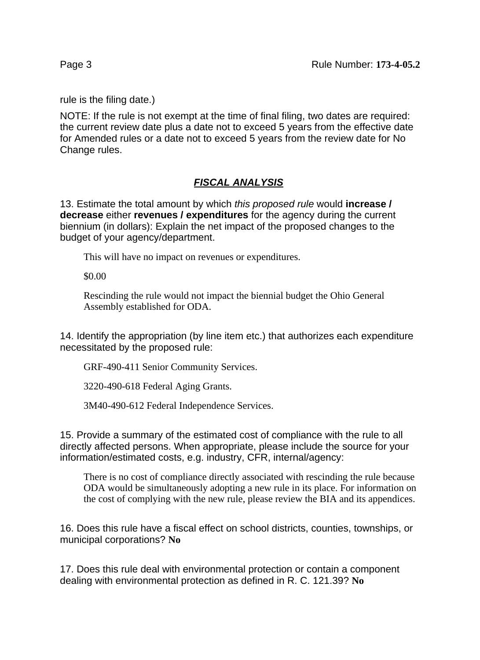rule is the filing date.)

NOTE: If the rule is not exempt at the time of final filing, two dates are required: the current review date plus a date not to exceed 5 years from the effective date for Amended rules or a date not to exceed 5 years from the review date for No Change rules.

### **FISCAL ANALYSIS**

13. Estimate the total amount by which this proposed rule would **increase / decrease** either **revenues / expenditures** for the agency during the current biennium (in dollars): Explain the net impact of the proposed changes to the budget of your agency/department.

This will have no impact on revenues or expenditures.

\$0.00

Rescinding the rule would not impact the biennial budget the Ohio General Assembly established for ODA.

14. Identify the appropriation (by line item etc.) that authorizes each expenditure necessitated by the proposed rule:

GRF-490-411 Senior Community Services.

3220-490-618 Federal Aging Grants.

3M40-490-612 Federal Independence Services.

15. Provide a summary of the estimated cost of compliance with the rule to all directly affected persons. When appropriate, please include the source for your information/estimated costs, e.g. industry, CFR, internal/agency:

There is no cost of compliance directly associated with rescinding the rule because ODA would be simultaneously adopting a new rule in its place. For information on the cost of complying with the new rule, please review the BIA and its appendices.

16. Does this rule have a fiscal effect on school districts, counties, townships, or municipal corporations? **No**

17. Does this rule deal with environmental protection or contain a component dealing with environmental protection as defined in R. C. 121.39? **No**